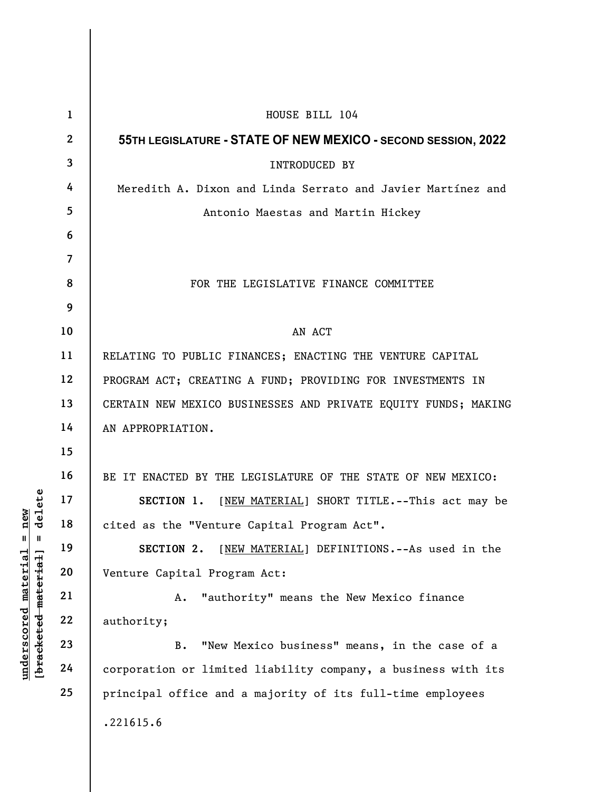|                                                                                                   | $\mathbf{1}$    | HOUSE BILL 104                                                 |
|---------------------------------------------------------------------------------------------------|-----------------|----------------------------------------------------------------|
| delete<br>new<br>$\mathsf{I}$<br>Ш<br>$underscored$ material<br>[ <del>bracketed material</del> ] | $\mathbf{2}$    | 55TH LEGISLATURE - STATE OF NEW MEXICO - SECOND SESSION, 2022  |
|                                                                                                   | $\mathbf{3}$    | INTRODUCED BY                                                  |
|                                                                                                   | 4               | Meredith A. Dixon and Linda Serrato and Javier Martínez and    |
|                                                                                                   | $5\phantom{.0}$ | Antonio Maestas and Martin Hickey                              |
|                                                                                                   | 6               |                                                                |
|                                                                                                   | $\overline{7}$  |                                                                |
|                                                                                                   | 8               | FOR THE LEGISLATIVE FINANCE COMMITTEE                          |
|                                                                                                   | 9               |                                                                |
|                                                                                                   | 10              | AN ACT                                                         |
|                                                                                                   | 11              | RELATING TO PUBLIC FINANCES; ENACTING THE VENTURE CAPITAL      |
|                                                                                                   | 12              | PROGRAM ACT; CREATING A FUND; PROVIDING FOR INVESTMENTS IN     |
|                                                                                                   | 13              | CERTAIN NEW MEXICO BUSINESSES AND PRIVATE EQUITY FUNDS; MAKING |
|                                                                                                   | 14              | AN APPROPRIATION.                                              |
|                                                                                                   | 15              |                                                                |
|                                                                                                   | 16              | BE IT ENACTED BY THE LEGISLATURE OF THE STATE OF NEW MEXICO:   |
|                                                                                                   | 17              | SECTION 1. [NEW MATERIAL] SHORT TITLE. -- This act may be      |
|                                                                                                   | 18              | cited as the "Venture Capital Program Act".                    |
|                                                                                                   | 19              | [NEW MATERIAL] DEFINITIONS. -- As used in the<br>SECTION 2.    |
|                                                                                                   | 20              | Venture Capital Program Act:                                   |
|                                                                                                   | 21              | "authority" means the New Mexico finance<br>Α.                 |
|                                                                                                   | 22              | authority;                                                     |
|                                                                                                   | 23              | "New Mexico business" means, in the case of a<br>$B$ .         |
|                                                                                                   | 24              | corporation or limited liability company, a business with its  |
|                                                                                                   | 25              | principal office and a majority of its full-time employees     |
|                                                                                                   |                 | .221615.6                                                      |
|                                                                                                   |                 |                                                                |
|                                                                                                   |                 |                                                                |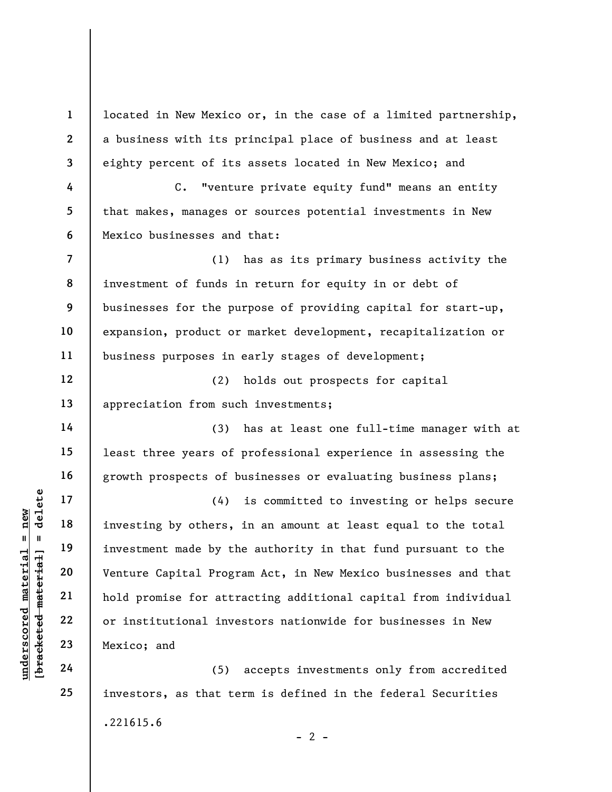1 2 3 4 5 6 7 located in New Mexico or, in the case of a limited partnership, a business with its principal place of business and at least eighty percent of its assets located in New Mexico; and C. "venture private equity fund" means an entity that makes, manages or sources potential investments in New Mexico businesses and that:

8 (1) has as its primary business activity the investment of funds in return for equity in or debt of businesses for the purpose of providing capital for start-up, expansion, product or market development, recapitalization or business purposes in early stages of development;

(2) holds out prospects for capital appreciation from such investments;

(3) has at least one full-time manager with at least three years of professional experience in assessing the growth prospects of businesses or evaluating business plans;

understand material properties of the same of the set of the set of the set of the set of the set of the set of the set of the set of the set of the set of the set of the set of the set of the set of the set of the set of (4) is committed to investing or helps secure investing by others, in an amount at least equal to the total investment made by the authority in that fund pursuant to the Venture Capital Program Act, in New Mexico businesses and that hold promise for attracting additional capital from individual or institutional investors nationwide for businesses in New Mexico; and

(5) accepts investments only from accredited investors, as that term is defined in the federal Securities .221615.6  $- 2 -$ 

9

10

11

12

13

14

15

16

17

18

19

20

21

22

23

24

25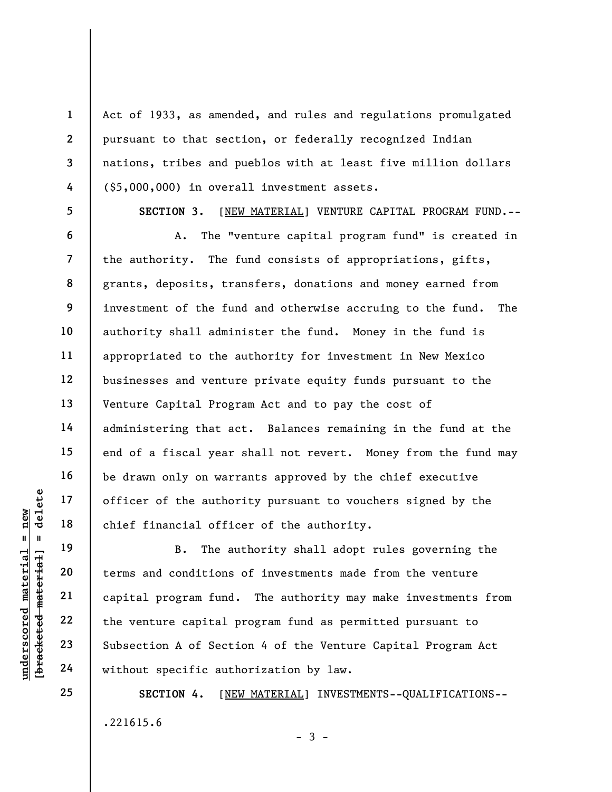Act of 1933, as amended, and rules and regulations promulgated pursuant to that section, or federally recognized Indian nations, tribes and pueblos with at least five million dollars (\$5,000,000) in overall investment assets.

5

1

2

3

4

6

7

8

9

10

11

12

13

14

15

16

17

18

19

20

21

22

23

24

25

SECTION 3. [NEW MATERIAL] VENTURE CAPITAL PROGRAM FUND.--

A. The "venture capital program fund" is created in the authority. The fund consists of appropriations, gifts, grants, deposits, transfers, donations and money earned from investment of the fund and otherwise accruing to the fund. The authority shall administer the fund. Money in the fund is appropriated to the authority for investment in New Mexico businesses and venture private equity funds pursuant to the Venture Capital Program Act and to pay the cost of administering that act. Balances remaining in the fund at the end of a fiscal year shall not revert. Money from the fund may be drawn only on warrants approved by the chief executive officer of the authority pursuant to vouchers signed by the chief financial officer of the authority.

understand the author<br>
understand material of the author<br>
chief financial office<br>
chief financial office<br>
20<br>
understand conditions<br>
21<br>
22<br>
understand conditions<br>
23<br>
understand the venture capital p<br>
24<br>
understand of Se B. The authority shall adopt rules governing the terms and conditions of investments made from the venture capital program fund. The authority may make investments from the venture capital program fund as permitted pursuant to Subsection A of Section 4 of the Venture Capital Program Act without specific authorization by law.

> SECTION 4. [NEW MATERIAL] INVESTMENTS--QUALIFICATIONS-- .221615.6  $-3 -$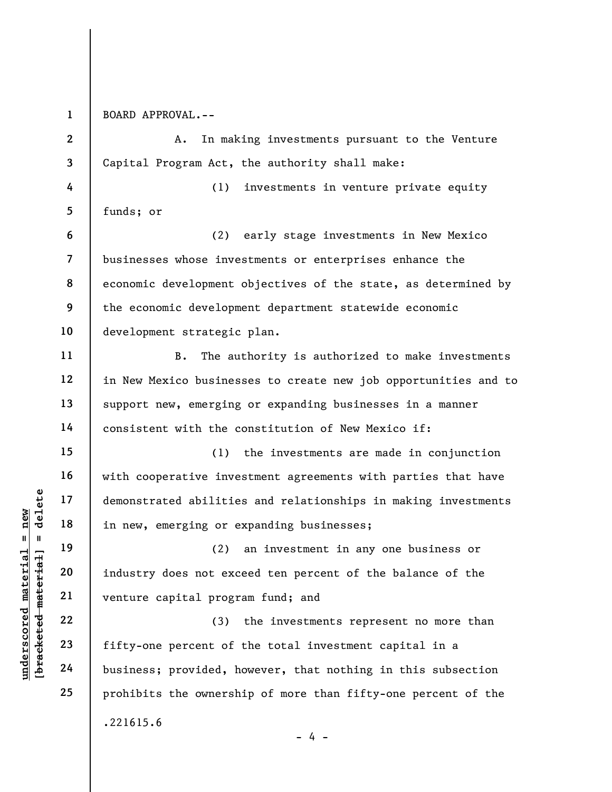1 BOARD APPROVAL.--

underscored material = new [bracketed material] = delete 2 3 4 5 6 7 8 9 10 11 12 13 14 15 16 17 18 19 A. In making investments pursuant to the Venture Capital Program Act, the authority shall make: (1) investments in venture private equity funds; or (2) early stage investments in New Mexico businesses whose investments or enterprises enhance the economic development objectives of the state, as determined by the economic development department statewide economic development strategic plan. B. The authority is authorized to make investments in New Mexico businesses to create new job opportunities and to support new, emerging or expanding businesses in a manner consistent with the constitution of New Mexico if: (1) the investments are made in conjunction with cooperative investment agreements with parties that have demonstrated abilities and relationships in making investments in new, emerging or expanding businesses; (2) an investment in any one business or

industry does not exceed ten percent of the balance of the venture capital program fund; and

(3) the investments represent no more than fifty-one percent of the total investment capital in a business; provided, however, that nothing in this subsection prohibits the ownership of more than fifty-one percent of the .221615.6

20

21

22

23

24

25

 $- 4 -$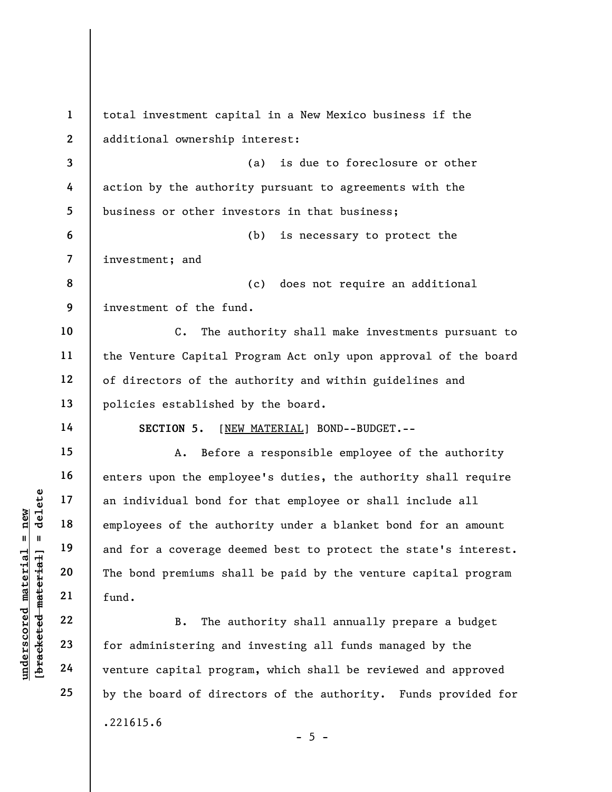understand material progress of the authority of the surface material progress of the authority of the authority of the solution of the surface dependence of the authority of the bond premiums shadows and fund.<br>
B. The aut 1 2 3 4 5 6 7 8 9 10 11 12 13 14 15 16 17 18 19 20 21 22 23 24 25 total investment capital in a New Mexico business if the additional ownership interest: (a) is due to foreclosure or other action by the authority pursuant to agreements with the business or other investors in that business; (b) is necessary to protect the investment; and (c) does not require an additional investment of the fund. C. The authority shall make investments pursuant to the Venture Capital Program Act only upon approval of the board of directors of the authority and within guidelines and policies established by the board. SECTION 5. [NEW MATERIAL] BOND--BUDGET.--A. Before a responsible employee of the authority enters upon the employee's duties, the authority shall require an individual bond for that employee or shall include all employees of the authority under a blanket bond for an amount and for a coverage deemed best to protect the state's interest. The bond premiums shall be paid by the venture capital program fund. B. The authority shall annually prepare a budget for administering and investing all funds managed by the venture capital program, which shall be reviewed and approved by the board of directors of the authority. Funds provided for .221615.6

 $- 5 -$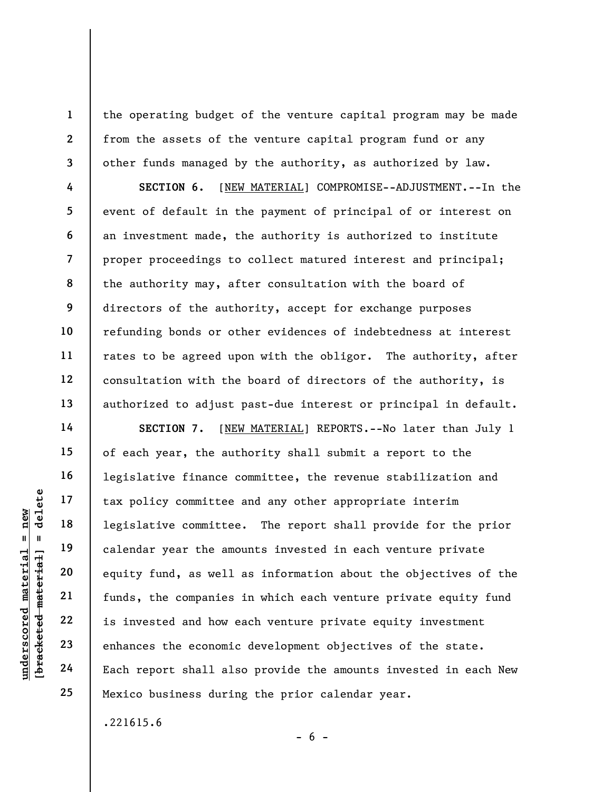the operating budget of the venture capital program may be made from the assets of the venture capital program fund or any other funds managed by the authority, as authorized by law.

SECTION 6. [NEW MATERIAL] COMPROMISE--ADJUSTMENT.--In the event of default in the payment of principal of or interest on an investment made, the authority is authorized to institute proper proceedings to collect matured interest and principal; the authority may, after consultation with the board of directors of the authority, accept for exchange purposes refunding bonds or other evidences of indebtedness at interest rates to be agreed upon with the obligor. The authority, after consultation with the board of directors of the authority, is authorized to adjust past-due interest or principal in default.

underscored material = new [bracketed material] = delete SECTION 7. [NEW MATERIAL] REPORTS. -- No later than July 1 of each year, the authority shall submit a report to the legislative finance committee, the revenue stabilization and tax policy committee and any other appropriate interim legislative committee. The report shall provide for the prior calendar year the amounts invested in each venture private equity fund, as well as information about the objectives of the funds, the companies in which each venture private equity fund is invested and how each venture private equity investment enhances the economic development objectives of the state. Each report shall also provide the amounts invested in each New Mexico business during the prior calendar year.

.221615.6

1

2

3

4

5

6

7

8

9

10

11

12

13

14

15

16

17

18

19

20

21

22

23

24

25

 $- 6 -$